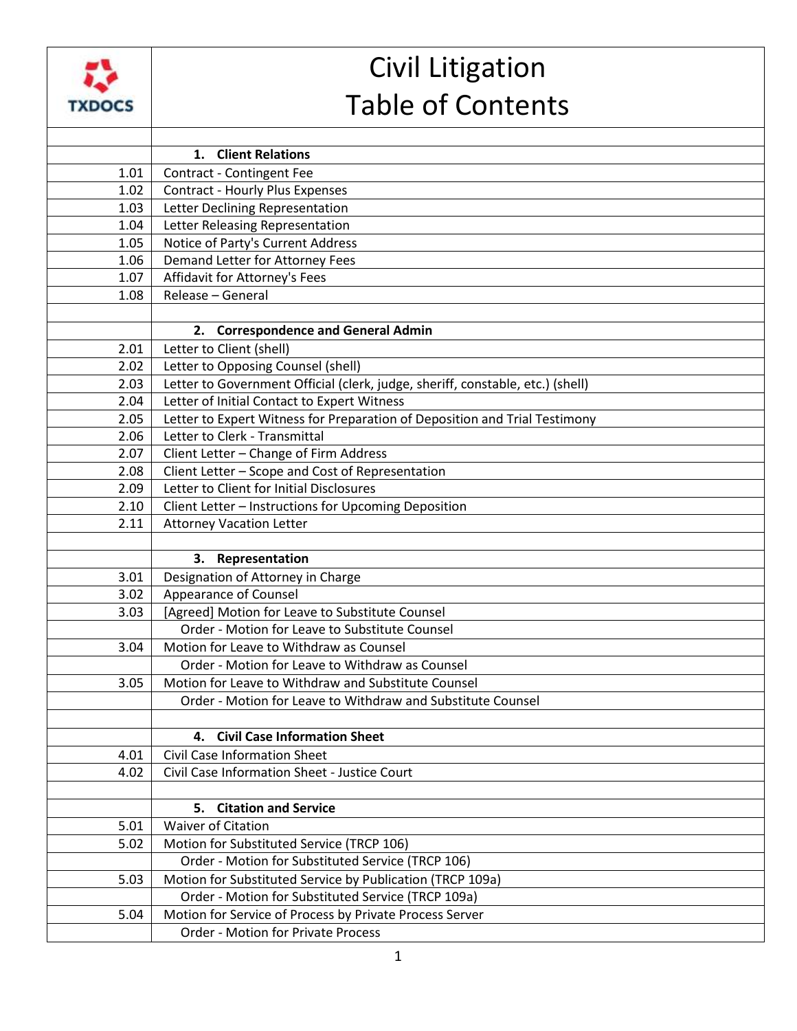

## Civil Litigation Table of Contents

|      | 1. Client Relations                                                                                  |
|------|------------------------------------------------------------------------------------------------------|
| 1.01 | Contract - Contingent Fee                                                                            |
| 1.02 | <b>Contract - Hourly Plus Expenses</b>                                                               |
| 1.03 | Letter Declining Representation                                                                      |
| 1.04 | Letter Releasing Representation                                                                      |
| 1.05 | Notice of Party's Current Address                                                                    |
| 1.06 | Demand Letter for Attorney Fees                                                                      |
| 1.07 | Affidavit for Attorney's Fees                                                                        |
| 1.08 | Release - General                                                                                    |
|      |                                                                                                      |
|      | 2. Correspondence and General Admin                                                                  |
| 2.01 | Letter to Client (shell)                                                                             |
| 2.02 | Letter to Opposing Counsel (shell)                                                                   |
| 2.03 | Letter to Government Official (clerk, judge, sheriff, constable, etc.) (shell)                       |
| 2.04 | Letter of Initial Contact to Expert Witness                                                          |
| 2.05 | Letter to Expert Witness for Preparation of Deposition and Trial Testimony                           |
| 2.06 | Letter to Clerk - Transmittal                                                                        |
| 2.07 | Client Letter - Change of Firm Address                                                               |
| 2.08 | Client Letter - Scope and Cost of Representation                                                     |
| 2.09 | Letter to Client for Initial Disclosures                                                             |
| 2.10 | Client Letter - Instructions for Upcoming Deposition                                                 |
| 2.11 | <b>Attorney Vacation Letter</b>                                                                      |
|      |                                                                                                      |
|      | Representation<br>3.                                                                                 |
| 3.01 | Designation of Attorney in Charge                                                                    |
| 3.02 | <b>Appearance of Counsel</b>                                                                         |
| 3.03 | [Agreed] Motion for Leave to Substitute Counsel                                                      |
|      | Order - Motion for Leave to Substitute Counsel                                                       |
| 3.04 | Motion for Leave to Withdraw as Counsel                                                              |
|      | Order - Motion for Leave to Withdraw as Counsel                                                      |
| 3.05 | Motion for Leave to Withdraw and Substitute Counsel                                                  |
|      | Order - Motion for Leave to Withdraw and Substitute Counsel                                          |
|      |                                                                                                      |
|      | <b>Civil Case Information Sheet</b><br>4.                                                            |
| 4.01 | <b>Civil Case Information Sheet</b>                                                                  |
| 4.02 | Civil Case Information Sheet - Justice Court                                                         |
|      |                                                                                                      |
|      | 5. Citation and Service                                                                              |
| 5.01 | <b>Waiver of Citation</b>                                                                            |
| 5.02 | Motion for Substituted Service (TRCP 106)                                                            |
|      | Order - Motion for Substituted Service (TRCP 106)                                                    |
| 5.03 | Motion for Substituted Service by Publication (TRCP 109a)                                            |
|      | Order - Motion for Substituted Service (TRCP 109a)                                                   |
| 5.04 | Motion for Service of Process by Private Process Server<br><b>Order - Motion for Private Process</b> |
|      |                                                                                                      |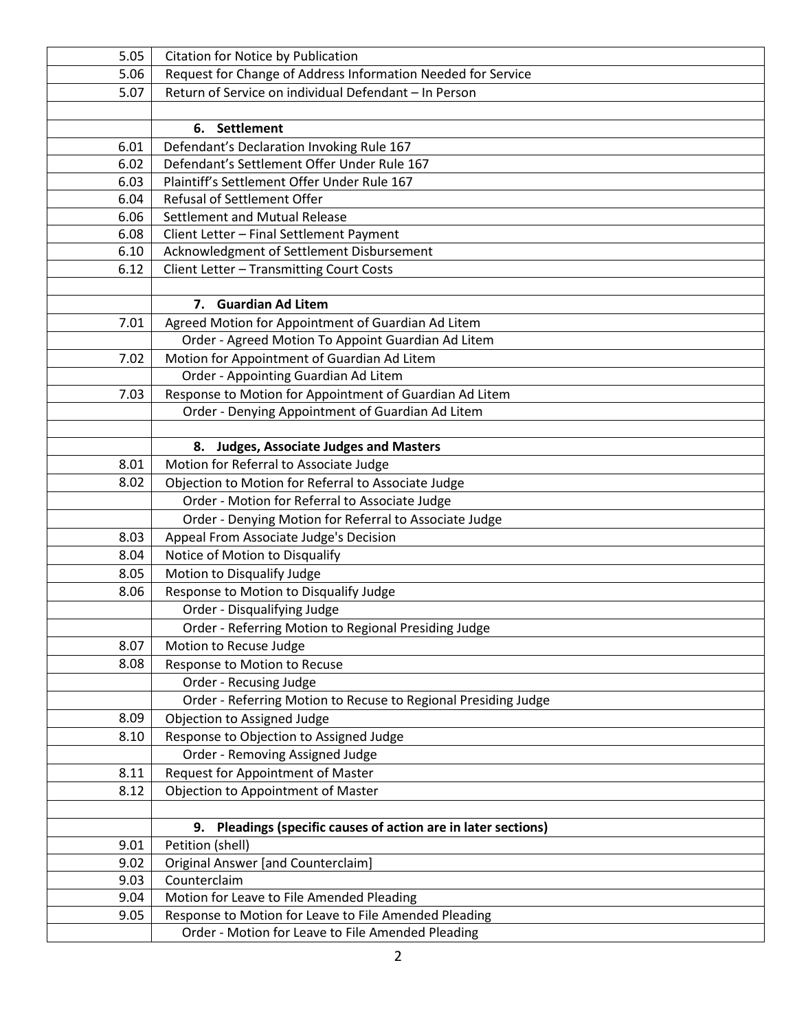| 5.05 | Citation for Notice by Publication                             |
|------|----------------------------------------------------------------|
| 5.06 | Request for Change of Address Information Needed for Service   |
| 5.07 | Return of Service on individual Defendant - In Person          |
|      |                                                                |
|      | <b>Settlement</b><br>6.                                        |
| 6.01 | Defendant's Declaration Invoking Rule 167                      |
| 6.02 | Defendant's Settlement Offer Under Rule 167                    |
| 6.03 | Plaintiff's Settlement Offer Under Rule 167                    |
| 6.04 | Refusal of Settlement Offer                                    |
| 6.06 | <b>Settlement and Mutual Release</b>                           |
| 6.08 | Client Letter - Final Settlement Payment                       |
| 6.10 | Acknowledgment of Settlement Disbursement                      |
| 6.12 | Client Letter - Transmitting Court Costs                       |
|      |                                                                |
|      | 7. Guardian Ad Litem                                           |
| 7.01 | Agreed Motion for Appointment of Guardian Ad Litem             |
|      | Order - Agreed Motion To Appoint Guardian Ad Litem             |
| 7.02 | Motion for Appointment of Guardian Ad Litem                    |
|      | Order - Appointing Guardian Ad Litem                           |
| 7.03 | Response to Motion for Appointment of Guardian Ad Litem        |
|      | Order - Denying Appointment of Guardian Ad Litem               |
|      |                                                                |
|      | 8. Judges, Associate Judges and Masters                        |
| 8.01 | Motion for Referral to Associate Judge                         |
| 8.02 | Objection to Motion for Referral to Associate Judge            |
|      | Order - Motion for Referral to Associate Judge                 |
|      | Order - Denying Motion for Referral to Associate Judge         |
| 8.03 | Appeal From Associate Judge's Decision                         |
| 8.04 | Notice of Motion to Disqualify                                 |
| 8.05 | Motion to Disqualify Judge                                     |
| 8.06 | Response to Motion to Disqualify Judge                         |
|      | Order - Disqualifying Judge                                    |
|      | Order - Referring Motion to Regional Presiding Judge           |
| 8.07 | Motion to Recuse Judge                                         |
| 8.08 | Response to Motion to Recuse                                   |
|      | Order - Recusing Judge                                         |
|      | Order - Referring Motion to Recuse to Regional Presiding Judge |
| 8.09 | Objection to Assigned Judge                                    |
| 8.10 | Response to Objection to Assigned Judge                        |
|      | Order - Removing Assigned Judge                                |
| 8.11 | Request for Appointment of Master                              |
| 8.12 | Objection to Appointment of Master                             |
|      |                                                                |
|      | 9. Pleadings (specific causes of action are in later sections) |
| 9.01 | Petition (shell)                                               |
| 9.02 | <b>Original Answer [and Counterclaim]</b>                      |
| 9.03 | Counterclaim                                                   |
| 9.04 | Motion for Leave to File Amended Pleading                      |
| 9.05 | Response to Motion for Leave to File Amended Pleading          |
|      | Order - Motion for Leave to File Amended Pleading              |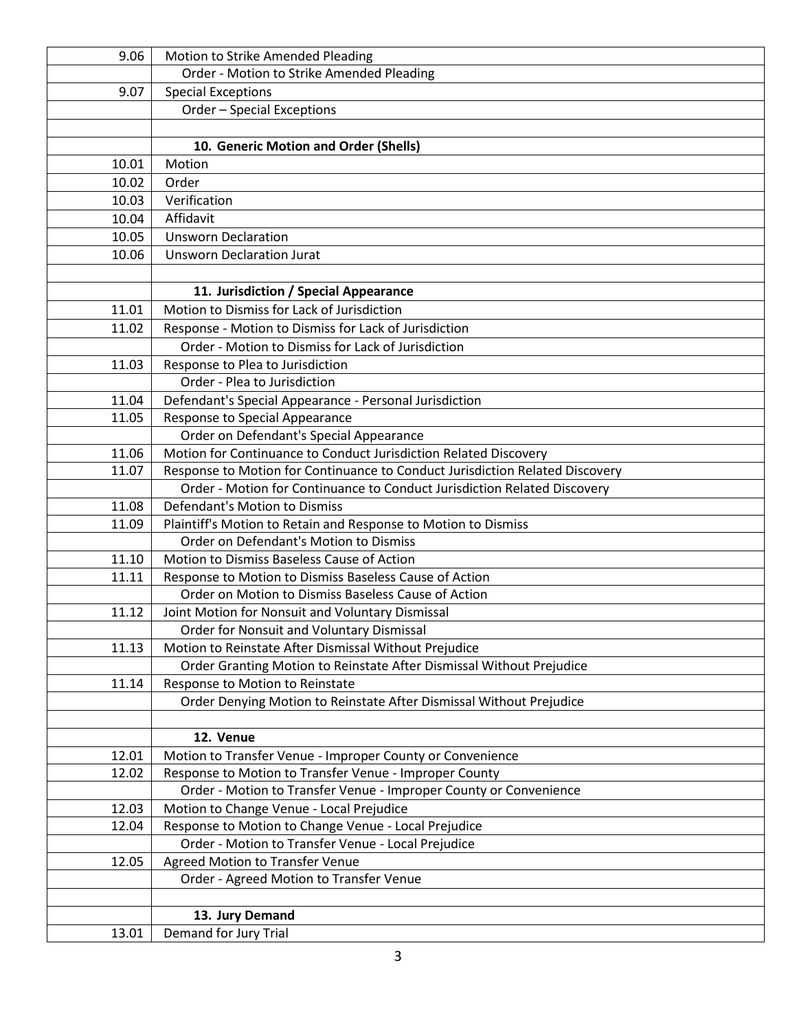| 9.06           | Motion to Strike Amended Pleading                                                                    |
|----------------|------------------------------------------------------------------------------------------------------|
|                | Order - Motion to Strike Amended Pleading                                                            |
| 9.07           | <b>Special Exceptions</b>                                                                            |
|                | Order - Special Exceptions                                                                           |
|                |                                                                                                      |
|                | 10. Generic Motion and Order (Shells)                                                                |
| 10.01          | Motion                                                                                               |
| 10.02          | Order                                                                                                |
| 10.03          | Verification                                                                                         |
| 10.04          | Affidavit                                                                                            |
| 10.05          | <b>Unsworn Declaration</b>                                                                           |
| 10.06          | <b>Unsworn Declaration Jurat</b>                                                                     |
|                |                                                                                                      |
|                | 11. Jurisdiction / Special Appearance                                                                |
| 11.01          | Motion to Dismiss for Lack of Jurisdiction                                                           |
| 11.02          | Response - Motion to Dismiss for Lack of Jurisdiction                                                |
|                | Order - Motion to Dismiss for Lack of Jurisdiction                                                   |
| 11.03          | Response to Plea to Jurisdiction                                                                     |
|                | Order - Plea to Jurisdiction                                                                         |
| 11.04          | Defendant's Special Appearance - Personal Jurisdiction                                               |
| 11.05          | Response to Special Appearance                                                                       |
|                | Order on Defendant's Special Appearance                                                              |
| 11.06          | Motion for Continuance to Conduct Jurisdiction Related Discovery                                     |
| 11.07          | Response to Motion for Continuance to Conduct Jurisdiction Related Discovery                         |
|                | Order - Motion for Continuance to Conduct Jurisdiction Related Discovery                             |
| 11.08          | Defendant's Motion to Dismiss                                                                        |
| 11.09          | Plaintiff's Motion to Retain and Response to Motion to Dismiss                                       |
|                | Order on Defendant's Motion to Dismiss                                                               |
| 11.10<br>11.11 | Motion to Dismiss Baseless Cause of Action<br>Response to Motion to Dismiss Baseless Cause of Action |
|                | Order on Motion to Dismiss Baseless Cause of Action                                                  |
| 11.12          | Joint Motion for Nonsuit and Voluntary Dismissal                                                     |
|                | Order for Nonsuit and Voluntary Dismissal                                                            |
| 11.13          | Motion to Reinstate After Dismissal Without Prejudice                                                |
|                | Order Granting Motion to Reinstate After Dismissal Without Prejudice                                 |
| 11.14          | Response to Motion to Reinstate                                                                      |
|                | Order Denying Motion to Reinstate After Dismissal Without Prejudice                                  |
|                |                                                                                                      |
|                | 12. Venue                                                                                            |
| 12.01          | Motion to Transfer Venue - Improper County or Convenience                                            |
| 12.02          | Response to Motion to Transfer Venue - Improper County                                               |
|                | Order - Motion to Transfer Venue - Improper County or Convenience                                    |
| 12.03          | Motion to Change Venue - Local Prejudice                                                             |
| 12.04          | Response to Motion to Change Venue - Local Prejudice                                                 |
|                | Order - Motion to Transfer Venue - Local Prejudice                                                   |
| 12.05          | <b>Agreed Motion to Transfer Venue</b>                                                               |
|                | Order - Agreed Motion to Transfer Venue                                                              |
|                |                                                                                                      |
|                | 13. Jury Demand                                                                                      |
| 13.01          | Demand for Jury Trial                                                                                |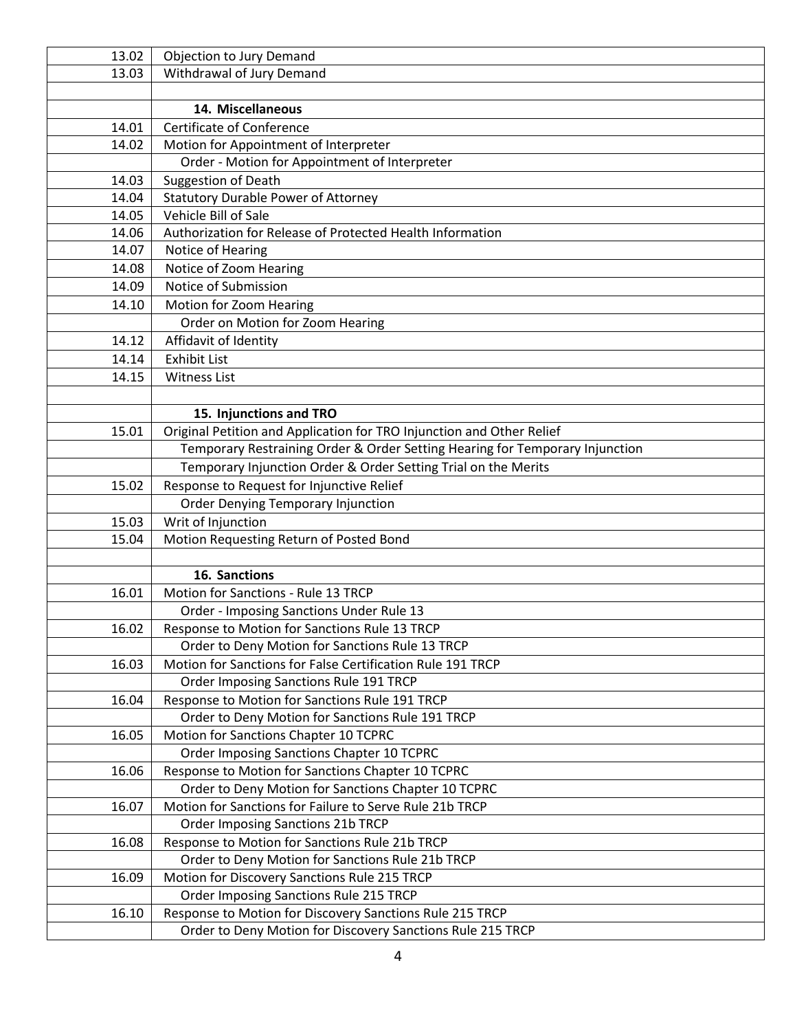| 13.02 | Objection to Jury Demand                                                     |
|-------|------------------------------------------------------------------------------|
| 13.03 | Withdrawal of Jury Demand                                                    |
|       |                                                                              |
|       | 14. Miscellaneous                                                            |
| 14.01 | <b>Certificate of Conference</b>                                             |
| 14.02 | Motion for Appointment of Interpreter                                        |
|       | Order - Motion for Appointment of Interpreter                                |
| 14.03 | <b>Suggestion of Death</b>                                                   |
| 14.04 | <b>Statutory Durable Power of Attorney</b>                                   |
| 14.05 | Vehicle Bill of Sale                                                         |
| 14.06 | Authorization for Release of Protected Health Information                    |
| 14.07 | Notice of Hearing                                                            |
| 14.08 | Notice of Zoom Hearing                                                       |
| 14.09 | Notice of Submission                                                         |
| 14.10 | Motion for Zoom Hearing                                                      |
|       | Order on Motion for Zoom Hearing                                             |
| 14.12 | Affidavit of Identity                                                        |
| 14.14 | <b>Exhibit List</b>                                                          |
| 14.15 | <b>Witness List</b>                                                          |
|       |                                                                              |
|       | 15. Injunctions and TRO                                                      |
| 15.01 | Original Petition and Application for TRO Injunction and Other Relief        |
|       | Temporary Restraining Order & Order Setting Hearing for Temporary Injunction |
|       | Temporary Injunction Order & Order Setting Trial on the Merits               |
| 15.02 | Response to Request for Injunctive Relief                                    |
|       | <b>Order Denying Temporary Injunction</b>                                    |
| 15.03 | Writ of Injunction                                                           |
| 15.04 | Motion Requesting Return of Posted Bond                                      |
|       |                                                                              |
|       | 16. Sanctions                                                                |
| 16.01 | Motion for Sanctions - Rule 13 TRCP                                          |
|       | Order - Imposing Sanctions Under Rule 13                                     |
| 16.02 | Response to Motion for Sanctions Rule 13 TRCP                                |
|       | Order to Deny Motion for Sanctions Rule 13 TRCP                              |
| 16.03 | Motion for Sanctions for False Certification Rule 191 TRCP                   |
|       | Order Imposing Sanctions Rule 191 TRCP                                       |
| 16.04 | Response to Motion for Sanctions Rule 191 TRCP                               |
|       | Order to Deny Motion for Sanctions Rule 191 TRCP                             |
| 16.05 | Motion for Sanctions Chapter 10 TCPRC                                        |
|       | Order Imposing Sanctions Chapter 10 TCPRC                                    |
| 16.06 | Response to Motion for Sanctions Chapter 10 TCPRC                            |
|       | Order to Deny Motion for Sanctions Chapter 10 TCPRC                          |
| 16.07 | Motion for Sanctions for Failure to Serve Rule 21b TRCP                      |
|       | Order Imposing Sanctions 21b TRCP                                            |
| 16.08 | Response to Motion for Sanctions Rule 21b TRCP                               |
|       | Order to Deny Motion for Sanctions Rule 21b TRCP                             |
| 16.09 | Motion for Discovery Sanctions Rule 215 TRCP                                 |
|       | Order Imposing Sanctions Rule 215 TRCP                                       |
| 16.10 | Response to Motion for Discovery Sanctions Rule 215 TRCP                     |
|       | Order to Deny Motion for Discovery Sanctions Rule 215 TRCP                   |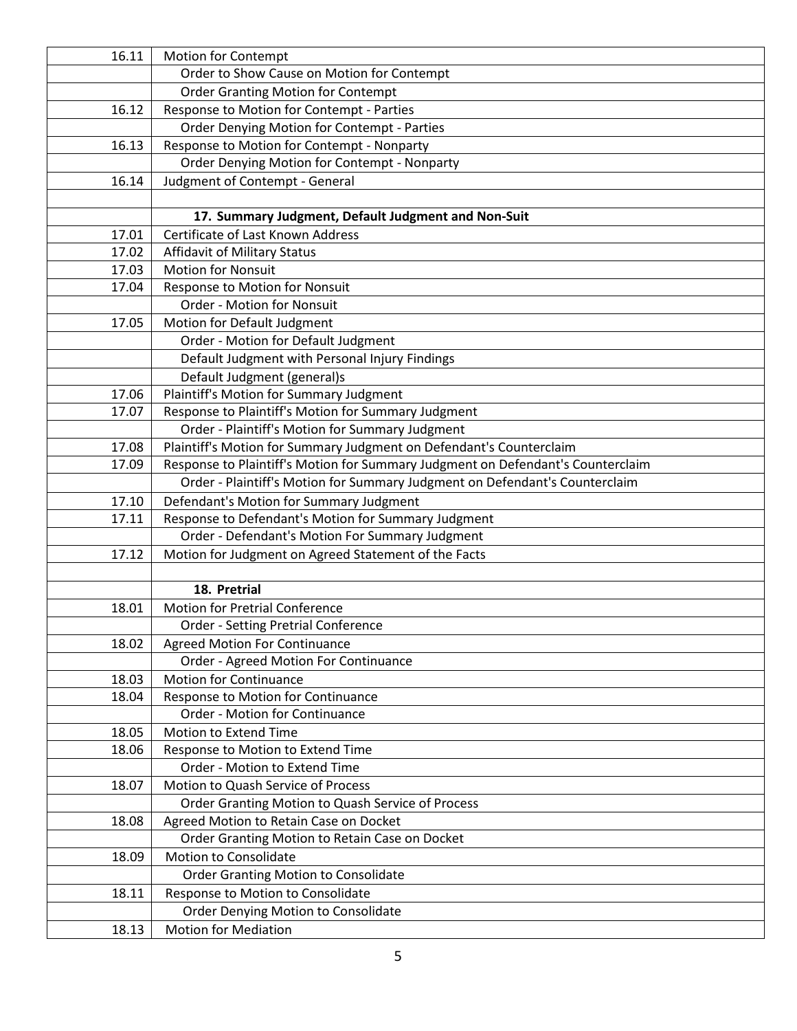| 16.11          | <b>Motion for Contempt</b>                                                      |
|----------------|---------------------------------------------------------------------------------|
|                | Order to Show Cause on Motion for Contempt                                      |
|                | <b>Order Granting Motion for Contempt</b>                                       |
| 16.12          | Response to Motion for Contempt - Parties                                       |
|                | Order Denying Motion for Contempt - Parties                                     |
| 16.13          | Response to Motion for Contempt - Nonparty                                      |
|                | Order Denying Motion for Contempt - Nonparty                                    |
| 16.14          | Judgment of Contempt - General                                                  |
|                |                                                                                 |
|                | 17. Summary Judgment, Default Judgment and Non-Suit                             |
| 17.01          | <b>Certificate of Last Known Address</b>                                        |
| 17.02          | Affidavit of Military Status                                                    |
| 17.03          | <b>Motion for Nonsuit</b>                                                       |
| 17.04          | Response to Motion for Nonsuit                                                  |
|                | Order - Motion for Nonsuit                                                      |
| 17.05          | Motion for Default Judgment                                                     |
|                | Order - Motion for Default Judgment                                             |
|                | Default Judgment with Personal Injury Findings                                  |
|                | Default Judgment (general)s                                                     |
| 17.06          | Plaintiff's Motion for Summary Judgment                                         |
| 17.07          | Response to Plaintiff's Motion for Summary Judgment                             |
|                | Order - Plaintiff's Motion for Summary Judgment                                 |
| 17.08          | Plaintiff's Motion for Summary Judgment on Defendant's Counterclaim             |
| 17.09          | Response to Plaintiff's Motion for Summary Judgment on Defendant's Counterclaim |
|                | Order - Plaintiff's Motion for Summary Judgment on Defendant's Counterclaim     |
| 17.10          | Defendant's Motion for Summary Judgment                                         |
| 17.11          | Response to Defendant's Motion for Summary Judgment                             |
|                | Order - Defendant's Motion For Summary Judgment                                 |
| 17.12          | Motion for Judgment on Agreed Statement of the Facts                            |
|                |                                                                                 |
|                | 18. Pretrial                                                                    |
| 18.01          | <b>Motion for Pretrial Conference</b>                                           |
|                | Order - Setting Pretrial Conference                                             |
| 18.02          | <b>Agreed Motion For Continuance</b>                                            |
|                | Order - Agreed Motion For Continuance<br><b>Motion for Continuance</b>          |
| 18.03<br>18.04 | Response to Motion for Continuance                                              |
|                | <b>Order - Motion for Continuance</b>                                           |
| 18.05          | <b>Motion to Extend Time</b>                                                    |
| 18.06          | Response to Motion to Extend Time                                               |
|                | Order - Motion to Extend Time                                                   |
| 18.07          | Motion to Quash Service of Process                                              |
|                | Order Granting Motion to Quash Service of Process                               |
| 18.08          | Agreed Motion to Retain Case on Docket                                          |
|                | Order Granting Motion to Retain Case on Docket                                  |
| 18.09          | <b>Motion to Consolidate</b>                                                    |
|                | <b>Order Granting Motion to Consolidate</b>                                     |
| 18.11          | Response to Motion to Consolidate                                               |
|                | <b>Order Denying Motion to Consolidate</b>                                      |
| 18.13          | <b>Motion for Mediation</b>                                                     |
|                |                                                                                 |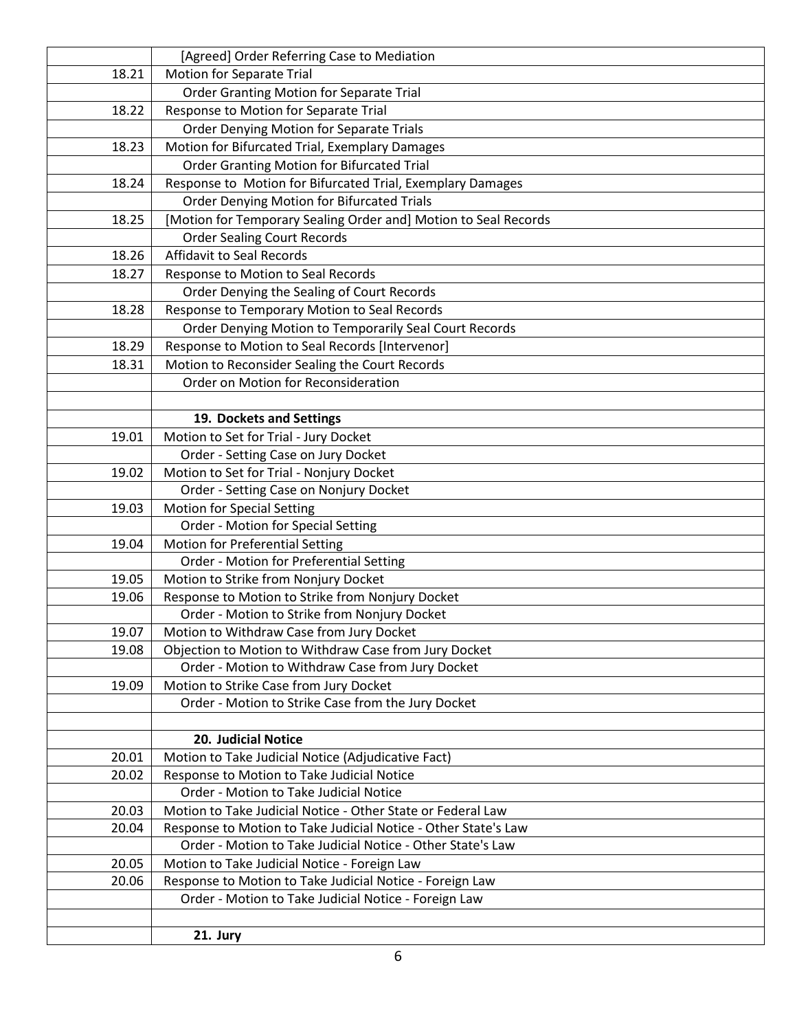|       | [Agreed] Order Referring Case to Mediation                      |
|-------|-----------------------------------------------------------------|
| 18.21 | Motion for Separate Trial                                       |
|       | Order Granting Motion for Separate Trial                        |
| 18.22 | Response to Motion for Separate Trial                           |
|       | Order Denying Motion for Separate Trials                        |
| 18.23 | Motion for Bifurcated Trial, Exemplary Damages                  |
|       | <b>Order Granting Motion for Bifurcated Trial</b>               |
| 18.24 | Response to Motion for Bifurcated Trial, Exemplary Damages      |
|       | Order Denying Motion for Bifurcated Trials                      |
| 18.25 | [Motion for Temporary Sealing Order and] Motion to Seal Records |
|       | <b>Order Sealing Court Records</b>                              |
| 18.26 | Affidavit to Seal Records                                       |
| 18.27 | Response to Motion to Seal Records                              |
|       | Order Denying the Sealing of Court Records                      |
| 18.28 | Response to Temporary Motion to Seal Records                    |
|       | Order Denying Motion to Temporarily Seal Court Records          |
| 18.29 | Response to Motion to Seal Records [Intervenor]                 |
| 18.31 | Motion to Reconsider Sealing the Court Records                  |
|       | Order on Motion for Reconsideration                             |
|       |                                                                 |
|       | 19. Dockets and Settings                                        |
| 19.01 | Motion to Set for Trial - Jury Docket                           |
|       | Order - Setting Case on Jury Docket                             |
| 19.02 | Motion to Set for Trial - Nonjury Docket                        |
|       | Order - Setting Case on Nonjury Docket                          |
| 19.03 | <b>Motion for Special Setting</b>                               |
|       | Order - Motion for Special Setting                              |
| 19.04 | <b>Motion for Preferential Setting</b>                          |
|       | Order - Motion for Preferential Setting                         |
| 19.05 | Motion to Strike from Nonjury Docket                            |
| 19.06 | Response to Motion to Strike from Nonjury Docket                |
|       | Order - Motion to Strike from Nonjury Docket                    |
| 19.07 | Motion to Withdraw Case from Jury Docket                        |
| 19.08 | Objection to Motion to Withdraw Case from Jury Docket           |
|       | Order - Motion to Withdraw Case from Jury Docket                |
| 19.09 | Motion to Strike Case from Jury Docket                          |
|       | Order - Motion to Strike Case from the Jury Docket              |
|       |                                                                 |
|       | 20. Judicial Notice                                             |
| 20.01 | Motion to Take Judicial Notice (Adjudicative Fact)              |
| 20.02 | Response to Motion to Take Judicial Notice                      |
|       | Order - Motion to Take Judicial Notice                          |
| 20.03 | Motion to Take Judicial Notice - Other State or Federal Law     |
| 20.04 | Response to Motion to Take Judicial Notice - Other State's Law  |
|       | Order - Motion to Take Judicial Notice - Other State's Law      |
| 20.05 | Motion to Take Judicial Notice - Foreign Law                    |
| 20.06 | Response to Motion to Take Judicial Notice - Foreign Law        |
|       | Order - Motion to Take Judicial Notice - Foreign Law            |
|       |                                                                 |
|       | 21. Jury                                                        |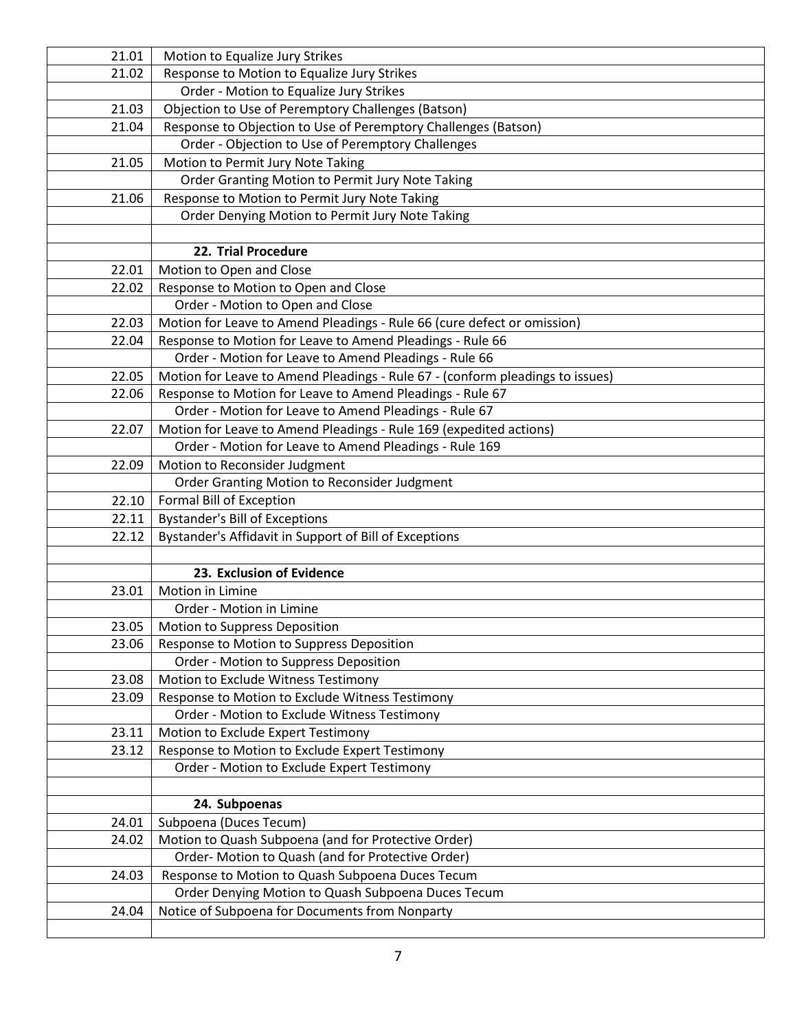| 21.01          | Motion to Equalize Jury Strikes                                                      |
|----------------|--------------------------------------------------------------------------------------|
| 21.02          | Response to Motion to Equalize Jury Strikes                                          |
|                | Order - Motion to Equalize Jury Strikes                                              |
| 21.03          | Objection to Use of Peremptory Challenges (Batson)                                   |
| 21.04          | Response to Objection to Use of Peremptory Challenges (Batson)                       |
|                | Order - Objection to Use of Peremptory Challenges                                    |
| 21.05          | Motion to Permit Jury Note Taking                                                    |
|                | Order Granting Motion to Permit Jury Note Taking                                     |
| 21.06          | Response to Motion to Permit Jury Note Taking                                        |
|                | Order Denying Motion to Permit Jury Note Taking                                      |
|                |                                                                                      |
|                | 22. Trial Procedure                                                                  |
| 22.01          | Motion to Open and Close                                                             |
| 22.02          | Response to Motion to Open and Close                                                 |
|                | Order - Motion to Open and Close                                                     |
| 22.03          | Motion for Leave to Amend Pleadings - Rule 66 (cure defect or omission)              |
| 22.04          | Response to Motion for Leave to Amend Pleadings - Rule 66                            |
|                | Order - Motion for Leave to Amend Pleadings - Rule 66                                |
| 22.05          | Motion for Leave to Amend Pleadings - Rule 67 - (conform pleadings to issues)        |
| 22.06          | Response to Motion for Leave to Amend Pleadings - Rule 67                            |
|                | Order - Motion for Leave to Amend Pleadings - Rule 67                                |
| 22.07          | Motion for Leave to Amend Pleadings - Rule 169 (expedited actions)                   |
|                | Order - Motion for Leave to Amend Pleadings - Rule 169                               |
| 22.09          | Motion to Reconsider Judgment                                                        |
|                | Order Granting Motion to Reconsider Judgment                                         |
| 22.10          | Formal Bill of Exception                                                             |
| 22.11          | <b>Bystander's Bill of Exceptions</b>                                                |
| 22.12          | Bystander's Affidavit in Support of Bill of Exceptions                               |
|                |                                                                                      |
|                | 23. Exclusion of Evidence                                                            |
| 23.01          | Motion in Limine                                                                     |
|                | Order - Motion in Limine                                                             |
| 23.05          | Motion to Suppress Deposition                                                        |
| 23.06          | Response to Motion to Suppress Deposition                                            |
|                | Order - Motion to Suppress Deposition                                                |
| 23.08          | Motion to Exclude Witness Testimony                                                  |
| 23.09          | Response to Motion to Exclude Witness Testimony                                      |
|                | Order - Motion to Exclude Witness Testimony                                          |
| 23.11<br>23.12 | Motion to Exclude Expert Testimony<br>Response to Motion to Exclude Expert Testimony |
|                | Order - Motion to Exclude Expert Testimony                                           |
|                |                                                                                      |
|                | 24. Subpoenas                                                                        |
| 24.01          | Subpoena (Duces Tecum)                                                               |
| 24.02          | Motion to Quash Subpoena (and for Protective Order)                                  |
|                | Order-Motion to Quash (and for Protective Order)                                     |
| 24.03          | Response to Motion to Quash Subpoena Duces Tecum                                     |
|                | Order Denying Motion to Quash Subpoena Duces Tecum                                   |
| 24.04          | Notice of Subpoena for Documents from Nonparty                                       |
|                |                                                                                      |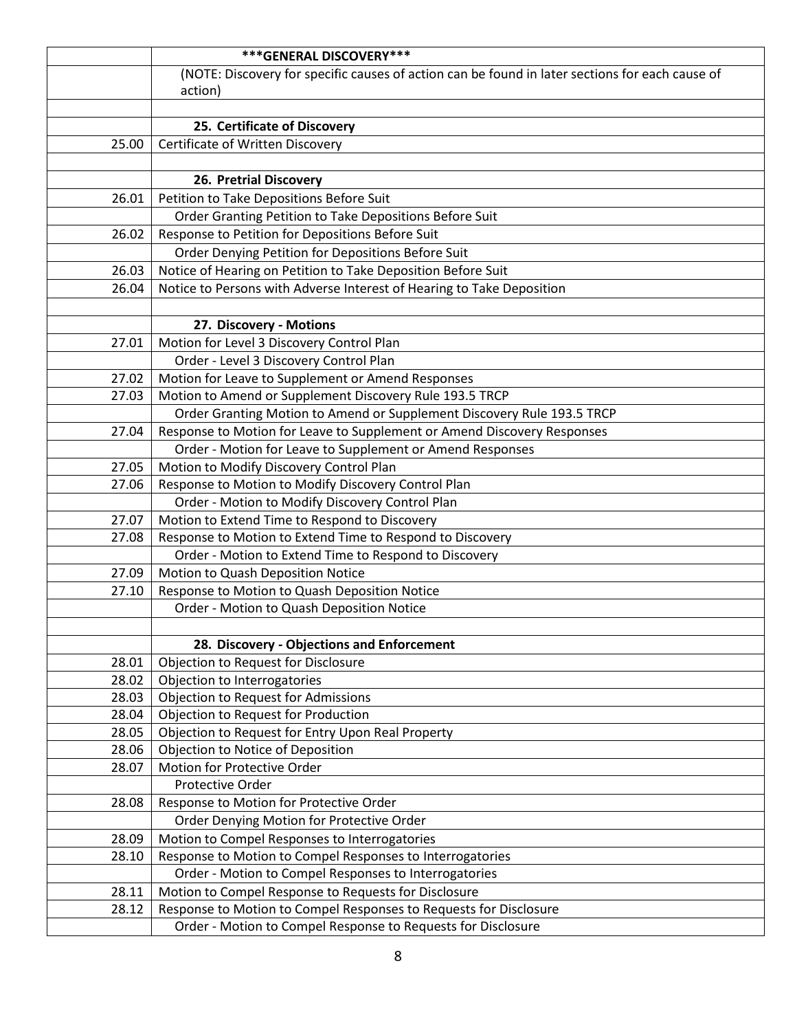|       | *** GENERAL DISCOVERY***                                                                                                  |
|-------|---------------------------------------------------------------------------------------------------------------------------|
|       | (NOTE: Discovery for specific causes of action can be found in later sections for each cause of                           |
|       | action)                                                                                                                   |
|       |                                                                                                                           |
|       | 25. Certificate of Discovery                                                                                              |
| 25.00 | Certificate of Written Discovery                                                                                          |
|       |                                                                                                                           |
|       | 26. Pretrial Discovery                                                                                                    |
| 26.01 | Petition to Take Depositions Before Suit                                                                                  |
|       | Order Granting Petition to Take Depositions Before Suit                                                                   |
| 26.02 | Response to Petition for Depositions Before Suit                                                                          |
|       | Order Denying Petition for Depositions Before Suit                                                                        |
| 26.03 | Notice of Hearing on Petition to Take Deposition Before Suit                                                              |
| 26.04 | Notice to Persons with Adverse Interest of Hearing to Take Deposition                                                     |
|       |                                                                                                                           |
|       | 27. Discovery - Motions                                                                                                   |
| 27.01 | Motion for Level 3 Discovery Control Plan                                                                                 |
|       | Order - Level 3 Discovery Control Plan                                                                                    |
| 27.02 | Motion for Leave to Supplement or Amend Responses                                                                         |
| 27.03 | Motion to Amend or Supplement Discovery Rule 193.5 TRCP                                                                   |
|       | Order Granting Motion to Amend or Supplement Discovery Rule 193.5 TRCP                                                    |
| 27.04 | Response to Motion for Leave to Supplement or Amend Discovery Responses                                                   |
|       | Order - Motion for Leave to Supplement or Amend Responses                                                                 |
| 27.05 | Motion to Modify Discovery Control Plan                                                                                   |
| 27.06 | Response to Motion to Modify Discovery Control Plan                                                                       |
|       | Order - Motion to Modify Discovery Control Plan                                                                           |
| 27.07 | Motion to Extend Time to Respond to Discovery                                                                             |
| 27.08 | Response to Motion to Extend Time to Respond to Discovery                                                                 |
|       | Order - Motion to Extend Time to Respond to Discovery                                                                     |
| 27.09 | Motion to Quash Deposition Notice                                                                                         |
| 27.10 | Response to Motion to Quash Deposition Notice                                                                             |
|       | Order - Motion to Quash Deposition Notice                                                                                 |
|       |                                                                                                                           |
|       | 28. Discovery - Objections and Enforcement                                                                                |
| 28.01 | <b>Objection to Request for Disclosure</b>                                                                                |
| 28.02 | Objection to Interrogatories                                                                                              |
| 28.03 | <b>Objection to Request for Admissions</b>                                                                                |
| 28.04 | Objection to Request for Production                                                                                       |
| 28.05 | Objection to Request for Entry Upon Real Property                                                                         |
| 28.06 | Objection to Notice of Deposition                                                                                         |
| 28.07 | Motion for Protective Order                                                                                               |
|       | Protective Order                                                                                                          |
| 28.08 | Response to Motion for Protective Order                                                                                   |
|       | Order Denying Motion for Protective Order                                                                                 |
| 28.09 | Motion to Compel Responses to Interrogatories                                                                             |
| 28.10 | Response to Motion to Compel Responses to Interrogatories                                                                 |
|       | Order - Motion to Compel Responses to Interrogatories                                                                     |
| 28.11 | Motion to Compel Response to Requests for Disclosure<br>Response to Motion to Compel Responses to Requests for Disclosure |
| 28.12 |                                                                                                                           |
|       | Order - Motion to Compel Response to Requests for Disclosure                                                              |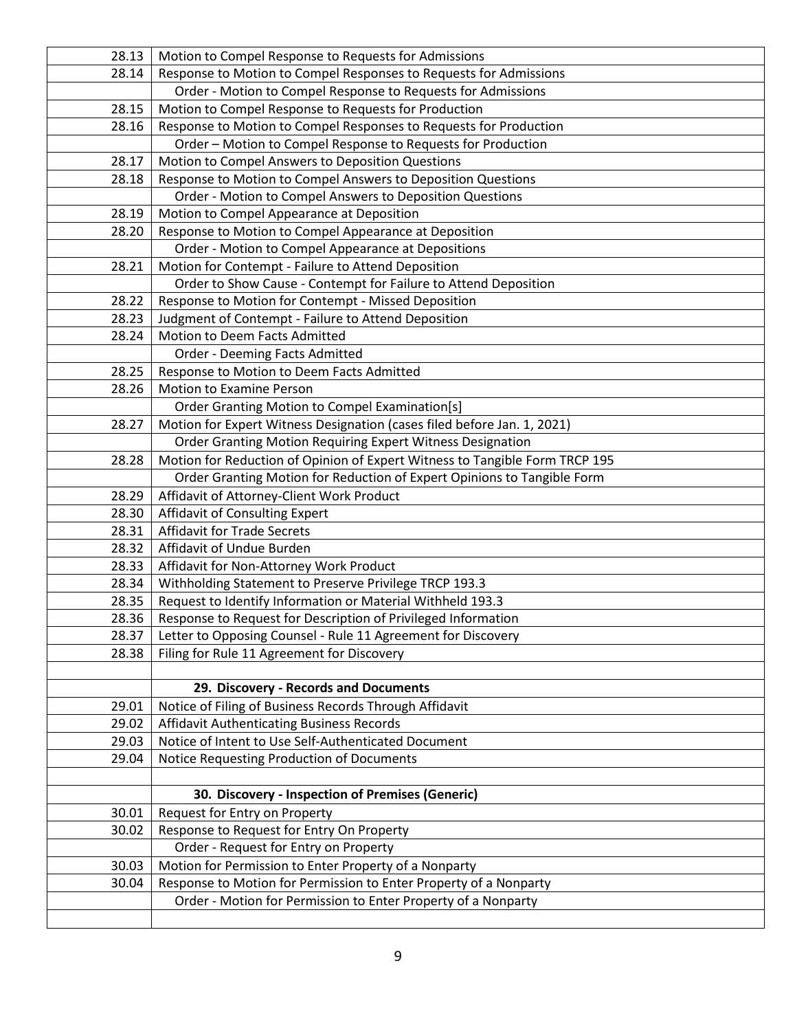| 28.13          | Motion to Compel Response to Requests for Admissions                                                                       |
|----------------|----------------------------------------------------------------------------------------------------------------------------|
| 28.14          | Response to Motion to Compel Responses to Requests for Admissions                                                          |
|                | Order - Motion to Compel Response to Requests for Admissions                                                               |
| 28.15          | Motion to Compel Response to Requests for Production                                                                       |
| 28.16          | Response to Motion to Compel Responses to Requests for Production                                                          |
|                | Order - Motion to Compel Response to Requests for Production                                                               |
| 28.17          | Motion to Compel Answers to Deposition Questions                                                                           |
| 28.18          | Response to Motion to Compel Answers to Deposition Questions                                                               |
|                | Order - Motion to Compel Answers to Deposition Questions                                                                   |
| 28.19          | Motion to Compel Appearance at Deposition                                                                                  |
| 28.20          | Response to Motion to Compel Appearance at Deposition                                                                      |
|                | Order - Motion to Compel Appearance at Depositions                                                                         |
| 28.21          | Motion for Contempt - Failure to Attend Deposition                                                                         |
|                | Order to Show Cause - Contempt for Failure to Attend Deposition                                                            |
| 28.22          | Response to Motion for Contempt - Missed Deposition                                                                        |
| 28.23          | Judgment of Contempt - Failure to Attend Deposition                                                                        |
| 28.24          | Motion to Deem Facts Admitted                                                                                              |
|                | Order - Deeming Facts Admitted                                                                                             |
| 28.25          | Response to Motion to Deem Facts Admitted                                                                                  |
| 28.26          | Motion to Examine Person                                                                                                   |
|                | Order Granting Motion to Compel Examination[s]                                                                             |
| 28.27          | Motion for Expert Witness Designation (cases filed before Jan. 1, 2021)                                                    |
|                | Order Granting Motion Requiring Expert Witness Designation                                                                 |
| 28.28          | Motion for Reduction of Opinion of Expert Witness to Tangible Form TRCP 195                                                |
|                | Order Granting Motion for Reduction of Expert Opinions to Tangible Form                                                    |
| 28.29          | Affidavit of Attorney-Client Work Product                                                                                  |
| 28.30          | Affidavit of Consulting Expert                                                                                             |
| 28.31          | <b>Affidavit for Trade Secrets</b>                                                                                         |
| 28.32          | Affidavit of Undue Burden                                                                                                  |
| 28.33          | Affidavit for Non-Attorney Work Product                                                                                    |
| 28.34          | Withholding Statement to Preserve Privilege TRCP 193.3                                                                     |
| 28.35          | Request to Identify Information or Material Withheld 193.3                                                                 |
| 28.36          | Response to Request for Description of Privileged Information                                                              |
| 28.37          | Letter to Opposing Counsel - Rule 11 Agreement for Discovery                                                               |
| 28.38          | Filing for Rule 11 Agreement for Discovery                                                                                 |
|                |                                                                                                                            |
|                | 29. Discovery - Records and Documents                                                                                      |
| 29.01          | Notice of Filing of Business Records Through Affidavit                                                                     |
| 29.02          | <b>Affidavit Authenticating Business Records</b>                                                                           |
| 29.03          | Notice of Intent to Use Self-Authenticated Document                                                                        |
| 29.04          | Notice Requesting Production of Documents                                                                                  |
|                |                                                                                                                            |
|                | 30. Discovery - Inspection of Premises (Generic)                                                                           |
| 30.01<br>30.02 | Request for Entry on Property<br>Response to Request for Entry On Property                                                 |
|                | Order - Request for Entry on Property                                                                                      |
|                |                                                                                                                            |
| 30.03          | Motion for Permission to Enter Property of a Nonparty<br>Response to Motion for Permission to Enter Property of a Nonparty |
| 30.04          | Order - Motion for Permission to Enter Property of a Nonparty                                                              |
|                |                                                                                                                            |
|                |                                                                                                                            |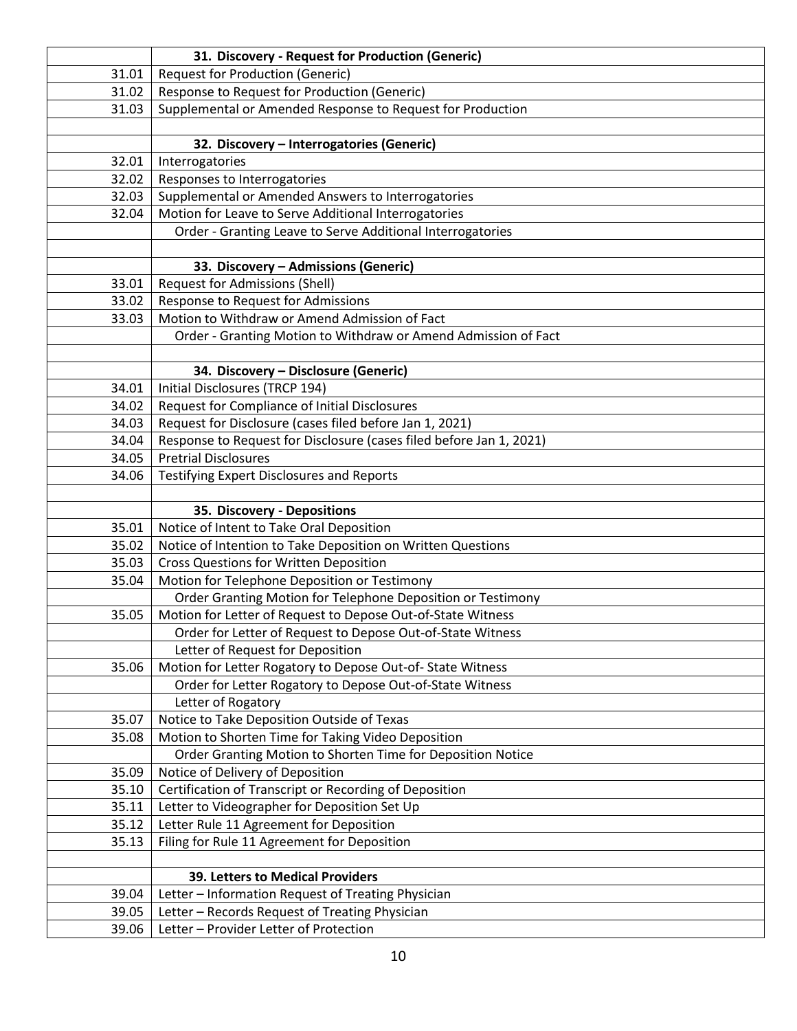|                | 31. Discovery - Request for Production (Generic)                                         |
|----------------|------------------------------------------------------------------------------------------|
| 31.01          | <b>Request for Production (Generic)</b>                                                  |
| 31.02          | Response to Request for Production (Generic)                                             |
| 31.03          | Supplemental or Amended Response to Request for Production                               |
|                |                                                                                          |
|                | 32. Discovery - Interrogatories (Generic)                                                |
| 32.01          | Interrogatories                                                                          |
| 32.02          | Responses to Interrogatories                                                             |
| 32.03          | Supplemental or Amended Answers to Interrogatories                                       |
| 32.04          | Motion for Leave to Serve Additional Interrogatories                                     |
|                | Order - Granting Leave to Serve Additional Interrogatories                               |
|                |                                                                                          |
|                | 33. Discovery - Admissions (Generic)                                                     |
| 33.01          | Request for Admissions (Shell)                                                           |
| 33.02          | Response to Request for Admissions                                                       |
| 33.03          | Motion to Withdraw or Amend Admission of Fact                                            |
|                | Order - Granting Motion to Withdraw or Amend Admission of Fact                           |
|                |                                                                                          |
|                | 34. Discovery - Disclosure (Generic)                                                     |
| 34.01          | Initial Disclosures (TRCP 194)                                                           |
| 34.02          | Request for Compliance of Initial Disclosures                                            |
| 34.03          | Request for Disclosure (cases filed before Jan 1, 2021)                                  |
| 34.04          | Response to Request for Disclosure (cases filed before Jan 1, 2021)                      |
| 34.05          | <b>Pretrial Disclosures</b>                                                              |
| 34.06          | <b>Testifying Expert Disclosures and Reports</b>                                         |
|                |                                                                                          |
|                | 35. Discovery - Depositions                                                              |
| 35.01          | Notice of Intent to Take Oral Deposition                                                 |
| 35.02          | Notice of Intention to Take Deposition on Written Questions                              |
| 35.03          | <b>Cross Questions for Written Deposition</b>                                            |
| 35.04          | Motion for Telephone Deposition or Testimony                                             |
|                | Order Granting Motion for Telephone Deposition or Testimony                              |
| 35.05          | Motion for Letter of Request to Depose Out-of-State Witness                              |
|                | Order for Letter of Request to Depose Out-of-State Witness                               |
|                | Letter of Request for Deposition                                                         |
| 35.06          | Motion for Letter Rogatory to Depose Out-of-State Witness                                |
|                | Order for Letter Rogatory to Depose Out-of-State Witness                                 |
|                | Letter of Rogatory                                                                       |
| 35.07          | Notice to Take Deposition Outside of Texas                                               |
| 35.08          | Motion to Shorten Time for Taking Video Deposition                                       |
|                | Order Granting Motion to Shorten Time for Deposition Notice                              |
| 35.09          | Notice of Delivery of Deposition                                                         |
| 35.10          | Certification of Transcript or Recording of Deposition                                   |
| 35.11          | Letter to Videographer for Deposition Set Up                                             |
| 35.12          | Letter Rule 11 Agreement for Deposition                                                  |
| 35.13          | Filing for Rule 11 Agreement for Deposition                                              |
|                |                                                                                          |
|                | <b>39. Letters to Medical Providers</b>                                                  |
| 39.04<br>39.05 | Letter - Information Request of Treating Physician                                       |
|                |                                                                                          |
| 39.06          | Letter - Records Request of Treating Physician<br>Letter - Provider Letter of Protection |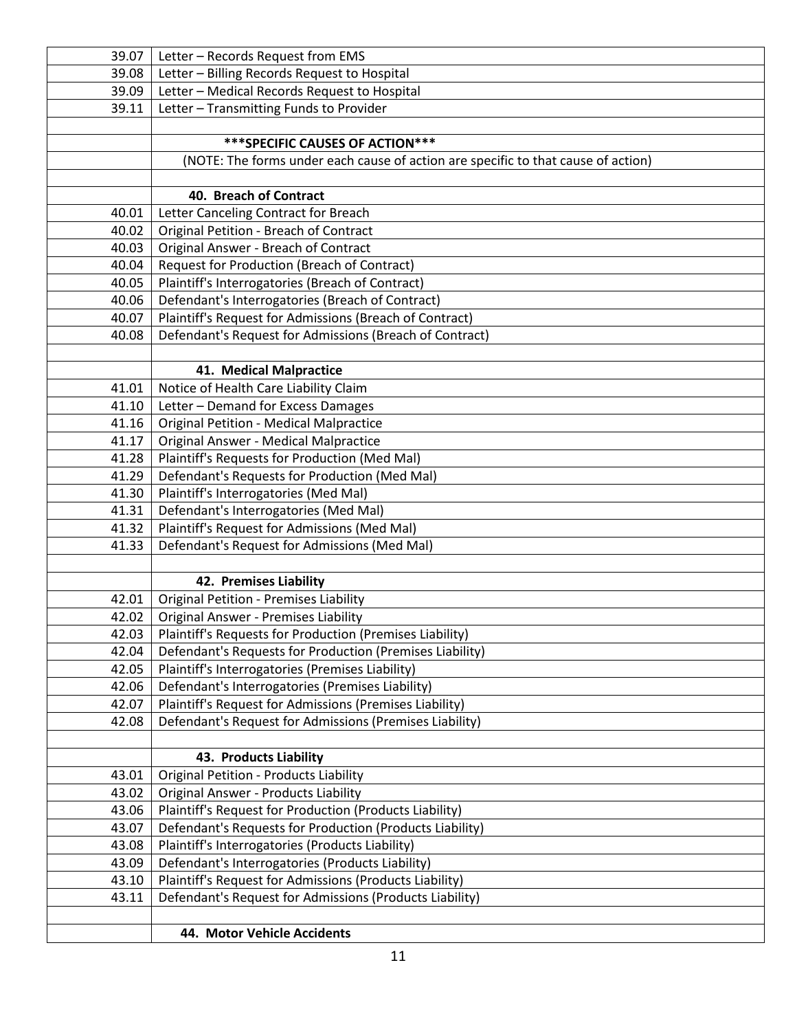| 39.07          | Letter - Records Request from EMS                                                 |
|----------------|-----------------------------------------------------------------------------------|
| 39.08          | Letter - Billing Records Request to Hospital                                      |
| 39.09          | Letter - Medical Records Request to Hospital                                      |
| 39.11          | Letter - Transmitting Funds to Provider                                           |
|                |                                                                                   |
|                | *** SPECIFIC CAUSES OF ACTION ***                                                 |
|                | (NOTE: The forms under each cause of action are specific to that cause of action) |
|                |                                                                                   |
|                | 40. Breach of Contract                                                            |
| 40.01          | Letter Canceling Contract for Breach                                              |
| 40.02          | Original Petition - Breach of Contract                                            |
| 40.03          | Original Answer - Breach of Contract                                              |
| 40.04          | Request for Production (Breach of Contract)                                       |
| 40.05          | Plaintiff's Interrogatories (Breach of Contract)                                  |
| 40.06          | Defendant's Interrogatories (Breach of Contract)                                  |
| 40.07          | Plaintiff's Request for Admissions (Breach of Contract)                           |
| 40.08          | Defendant's Request for Admissions (Breach of Contract)                           |
|                |                                                                                   |
|                | 41. Medical Malpractice                                                           |
| 41.01          | Notice of Health Care Liability Claim                                             |
| 41.10          | Letter - Demand for Excess Damages                                                |
| 41.16          | <b>Original Petition - Medical Malpractice</b>                                    |
| 41.17          | <b>Original Answer - Medical Malpractice</b>                                      |
| 41.28          | Plaintiff's Requests for Production (Med Mal)                                     |
| 41.29          | Defendant's Requests for Production (Med Mal)                                     |
| 41.30<br>41.31 | Plaintiff's Interrogatories (Med Mal)<br>Defendant's Interrogatories (Med Mal)    |
| 41.32          | Plaintiff's Request for Admissions (Med Mal)                                      |
| 41.33          | Defendant's Request for Admissions (Med Mal)                                      |
|                |                                                                                   |
|                | 42. Premises Liability                                                            |
| 42.01          | <b>Original Petition - Premises Liability</b>                                     |
| 42.02          | <b>Original Answer - Premises Liability</b>                                       |
| 42.03          | Plaintiff's Requests for Production (Premises Liability)                          |
| 42.04          | Defendant's Requests for Production (Premises Liability)                          |
| 42.05          | Plaintiff's Interrogatories (Premises Liability)                                  |
| 42.06          | Defendant's Interrogatories (Premises Liability)                                  |
| 42.07          | Plaintiff's Request for Admissions (Premises Liability)                           |
| 42.08          | Defendant's Request for Admissions (Premises Liability)                           |
|                |                                                                                   |
|                | 43. Products Liability                                                            |
| 43.01          | <b>Original Petition - Products Liability</b>                                     |
| 43.02          | Original Answer - Products Liability                                              |
| 43.06          | Plaintiff's Request for Production (Products Liability)                           |
| 43.07          | Defendant's Requests for Production (Products Liability)                          |
| 43.08          | Plaintiff's Interrogatories (Products Liability)                                  |
| 43.09          | Defendant's Interrogatories (Products Liability)                                  |
| 43.10          | Plaintiff's Request for Admissions (Products Liability)                           |
| 43.11          | Defendant's Request for Admissions (Products Liability)                           |
|                |                                                                                   |
|                | 44. Motor Vehicle Accidents                                                       |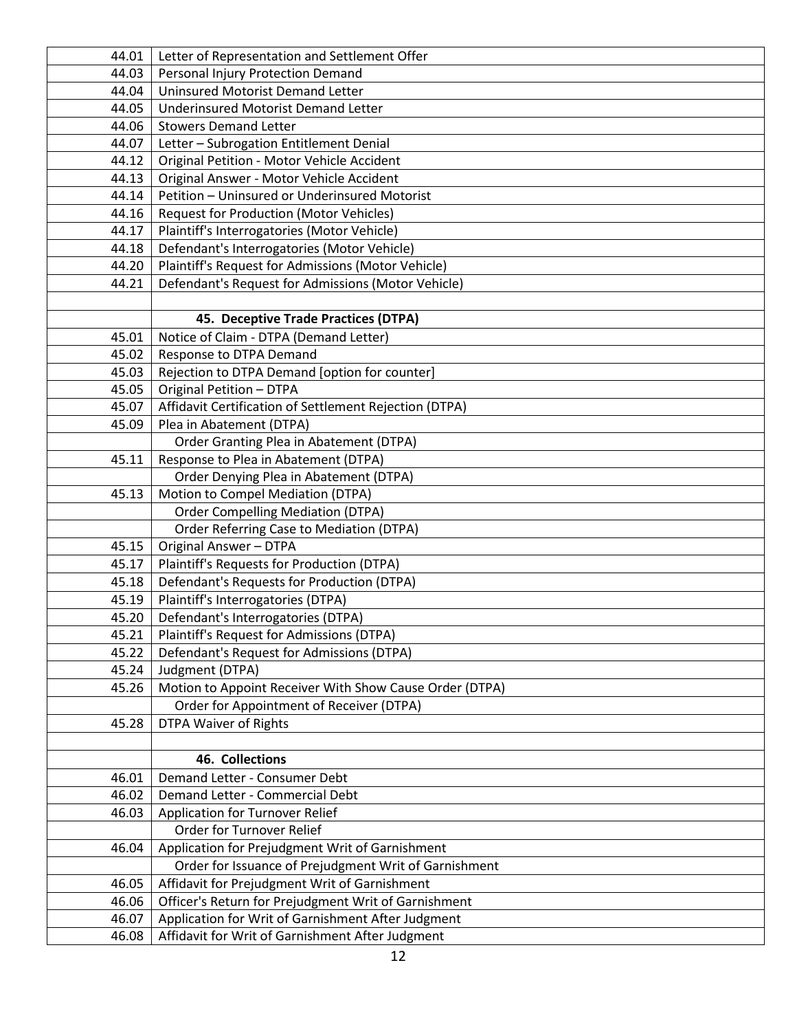| 44.01 | Letter of Representation and Settlement Offer           |
|-------|---------------------------------------------------------|
| 44.03 | Personal Injury Protection Demand                       |
| 44.04 | <b>Uninsured Motorist Demand Letter</b>                 |
| 44.05 | <b>Underinsured Motorist Demand Letter</b>              |
| 44.06 | <b>Stowers Demand Letter</b>                            |
| 44.07 | Letter - Subrogation Entitlement Denial                 |
| 44.12 | Original Petition - Motor Vehicle Accident              |
| 44.13 | Original Answer - Motor Vehicle Accident                |
| 44.14 | Petition - Uninsured or Underinsured Motorist           |
| 44.16 | <b>Request for Production (Motor Vehicles)</b>          |
| 44.17 | Plaintiff's Interrogatories (Motor Vehicle)             |
| 44.18 | Defendant's Interrogatories (Motor Vehicle)             |
| 44.20 | Plaintiff's Request for Admissions (Motor Vehicle)      |
| 44.21 | Defendant's Request for Admissions (Motor Vehicle)      |
|       |                                                         |
|       | 45. Deceptive Trade Practices (DTPA)                    |
| 45.01 | Notice of Claim - DTPA (Demand Letter)                  |
| 45.02 | Response to DTPA Demand                                 |
| 45.03 | Rejection to DTPA Demand [option for counter]           |
| 45.05 | <b>Original Petition - DTPA</b>                         |
| 45.07 | Affidavit Certification of Settlement Rejection (DTPA)  |
| 45.09 | Plea in Abatement (DTPA)                                |
|       | Order Granting Plea in Abatement (DTPA)                 |
| 45.11 | Response to Plea in Abatement (DTPA)                    |
|       | Order Denying Plea in Abatement (DTPA)                  |
| 45.13 | Motion to Compel Mediation (DTPA)                       |
|       | <b>Order Compelling Mediation (DTPA)</b>                |
|       | Order Referring Case to Mediation (DTPA)                |
| 45.15 | <b>Original Answer - DTPA</b>                           |
| 45.17 | Plaintiff's Requests for Production (DTPA)              |
| 45.18 | Defendant's Requests for Production (DTPA)              |
| 45.19 | Plaintiff's Interrogatories (DTPA)                      |
| 45.20 | Defendant's Interrogatories (DTPA)                      |
| 45.21 | Plaintiff's Request for Admissions (DTPA)               |
| 45.22 | Defendant's Request for Admissions (DTPA)               |
| 45.24 | Judgment (DTPA)                                         |
| 45.26 | Motion to Appoint Receiver With Show Cause Order (DTPA) |
|       | Order for Appointment of Receiver (DTPA)                |
| 45.28 | <b>DTPA Waiver of Rights</b>                            |
|       |                                                         |
|       | 46. Collections                                         |
| 46.01 | Demand Letter - Consumer Debt                           |
| 46.02 | Demand Letter - Commercial Debt                         |
| 46.03 | Application for Turnover Relief                         |
|       | Order for Turnover Relief                               |
| 46.04 | Application for Prejudgment Writ of Garnishment         |
|       | Order for Issuance of Prejudgment Writ of Garnishment   |
| 46.05 | Affidavit for Prejudgment Writ of Garnishment           |
| 46.06 | Officer's Return for Prejudgment Writ of Garnishment    |
| 46.07 | Application for Writ of Garnishment After Judgment      |
| 46.08 | Affidavit for Writ of Garnishment After Judgment        |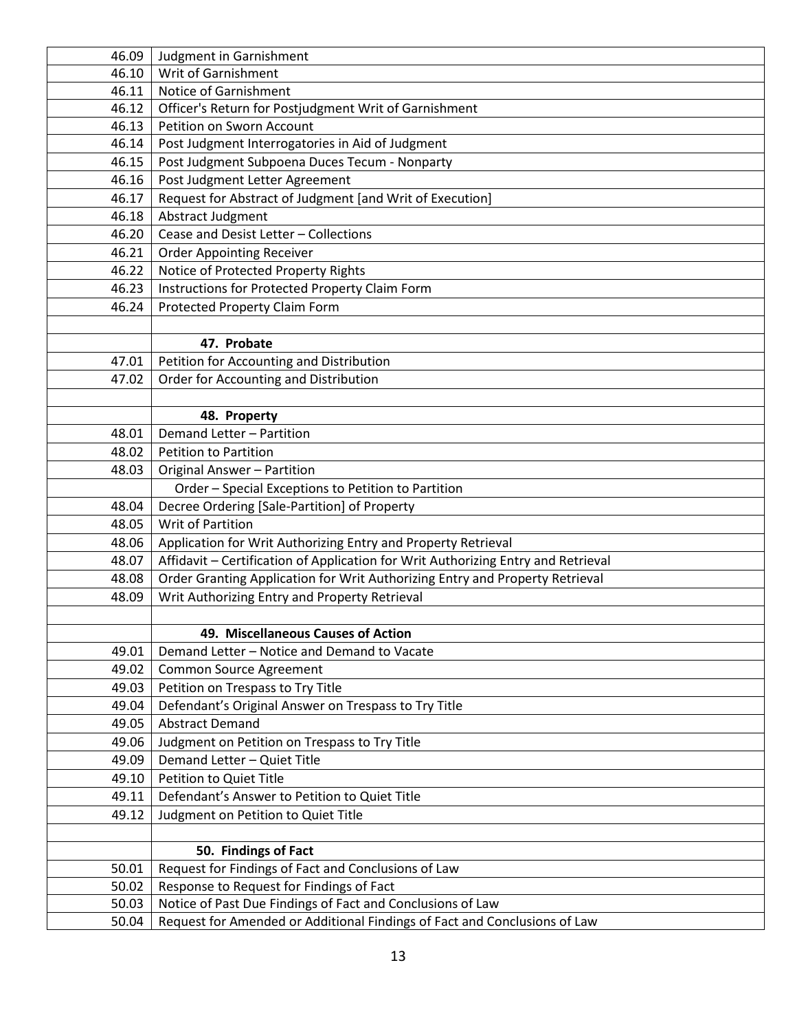| 46.09 | Judgment in Garnishment                                                           |
|-------|-----------------------------------------------------------------------------------|
| 46.10 | Writ of Garnishment                                                               |
| 46.11 | Notice of Garnishment                                                             |
| 46.12 | Officer's Return for Postjudgment Writ of Garnishment                             |
| 46.13 | Petition on Sworn Account                                                         |
| 46.14 | Post Judgment Interrogatories in Aid of Judgment                                  |
| 46.15 | Post Judgment Subpoena Duces Tecum - Nonparty                                     |
| 46.16 | Post Judgment Letter Agreement                                                    |
| 46.17 | Request for Abstract of Judgment [and Writ of Execution]                          |
| 46.18 | Abstract Judgment                                                                 |
| 46.20 | Cease and Desist Letter - Collections                                             |
| 46.21 | <b>Order Appointing Receiver</b>                                                  |
| 46.22 | Notice of Protected Property Rights                                               |
| 46.23 | Instructions for Protected Property Claim Form                                    |
| 46.24 | Protected Property Claim Form                                                     |
|       |                                                                                   |
|       | 47. Probate                                                                       |
| 47.01 | Petition for Accounting and Distribution                                          |
| 47.02 | Order for Accounting and Distribution                                             |
|       |                                                                                   |
|       | 48. Property                                                                      |
| 48.01 | Demand Letter - Partition                                                         |
| 48.02 | <b>Petition to Partition</b>                                                      |
| 48.03 | Original Answer - Partition                                                       |
|       | Order - Special Exceptions to Petition to Partition                               |
| 48.04 | Decree Ordering [Sale-Partition] of Property                                      |
| 48.05 | Writ of Partition                                                                 |
| 48.06 | Application for Writ Authorizing Entry and Property Retrieval                     |
| 48.07 | Affidavit - Certification of Application for Writ Authorizing Entry and Retrieval |
| 48.08 | Order Granting Application for Writ Authorizing Entry and Property Retrieval      |
| 48.09 | Writ Authorizing Entry and Property Retrieval                                     |
|       |                                                                                   |
|       | 49. Miscellaneous Causes of Action                                                |
| 49.01 | Demand Letter - Notice and Demand to Vacate                                       |
| 49.02 | Common Source Agreement                                                           |
| 49.03 | Petition on Trespass to Try Title                                                 |
| 49.04 | Defendant's Original Answer on Trespass to Try Title                              |
| 49.05 | <b>Abstract Demand</b>                                                            |
| 49.06 | Judgment on Petition on Trespass to Try Title                                     |
| 49.09 | Demand Letter - Quiet Title                                                       |
| 49.10 | Petition to Quiet Title                                                           |
| 49.11 | Defendant's Answer to Petition to Quiet Title                                     |
| 49.12 | Judgment on Petition to Quiet Title                                               |
|       |                                                                                   |
|       | 50. Findings of Fact                                                              |
| 50.01 | Request for Findings of Fact and Conclusions of Law                               |
| 50.02 | Response to Request for Findings of Fact                                          |
| 50.03 | Notice of Past Due Findings of Fact and Conclusions of Law                        |
| 50.04 | Request for Amended or Additional Findings of Fact and Conclusions of Law         |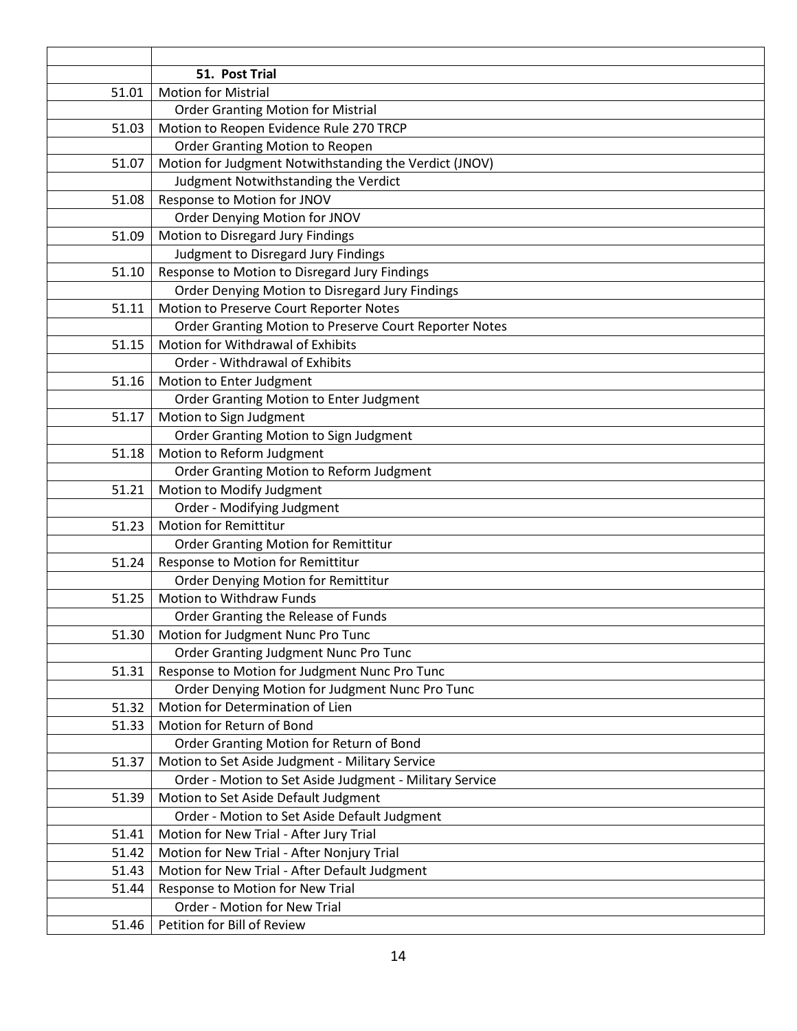|       | 51. Post Trial                                          |
|-------|---------------------------------------------------------|
| 51.01 | <b>Motion for Mistrial</b>                              |
|       | <b>Order Granting Motion for Mistrial</b>               |
| 51.03 | Motion to Reopen Evidence Rule 270 TRCP                 |
|       | <b>Order Granting Motion to Reopen</b>                  |
| 51.07 | Motion for Judgment Notwithstanding the Verdict (JNOV)  |
|       | Judgment Notwithstanding the Verdict                    |
| 51.08 | Response to Motion for JNOV                             |
|       | Order Denying Motion for JNOV                           |
| 51.09 | Motion to Disregard Jury Findings                       |
|       | Judgment to Disregard Jury Findings                     |
| 51.10 | Response to Motion to Disregard Jury Findings           |
|       | Order Denying Motion to Disregard Jury Findings         |
| 51.11 | Motion to Preserve Court Reporter Notes                 |
|       | Order Granting Motion to Preserve Court Reporter Notes  |
| 51.15 | Motion for Withdrawal of Exhibits                       |
|       | Order - Withdrawal of Exhibits                          |
| 51.16 | Motion to Enter Judgment                                |
|       | Order Granting Motion to Enter Judgment                 |
| 51.17 | Motion to Sign Judgment                                 |
|       | Order Granting Motion to Sign Judgment                  |
| 51.18 | Motion to Reform Judgment                               |
|       | Order Granting Motion to Reform Judgment                |
| 51.21 | Motion to Modify Judgment                               |
|       | Order - Modifying Judgment                              |
| 51.23 | <b>Motion for Remittitur</b>                            |
|       | <b>Order Granting Motion for Remittitur</b>             |
| 51.24 | Response to Motion for Remittitur                       |
|       | <b>Order Denying Motion for Remittitur</b>              |
| 51.25 | Motion to Withdraw Funds                                |
|       | Order Granting the Release of Funds                     |
| 51.30 | Motion for Judgment Nunc Pro Tunc                       |
|       | Order Granting Judgment Nunc Pro Tunc                   |
| 51.31 | Response to Motion for Judgment Nunc Pro Tunc           |
|       | Order Denying Motion for Judgment Nunc Pro Tunc         |
| 51.32 | Motion for Determination of Lien                        |
| 51.33 | Motion for Return of Bond                               |
|       | Order Granting Motion for Return of Bond                |
| 51.37 | Motion to Set Aside Judgment - Military Service         |
|       | Order - Motion to Set Aside Judgment - Military Service |
| 51.39 | Motion to Set Aside Default Judgment                    |
|       | Order - Motion to Set Aside Default Judgment            |
| 51.41 | Motion for New Trial - After Jury Trial                 |
| 51.42 | Motion for New Trial - After Nonjury Trial              |
| 51.43 | Motion for New Trial - After Default Judgment           |
| 51.44 | Response to Motion for New Trial                        |
|       | Order - Motion for New Trial                            |
| 51.46 | Petition for Bill of Review                             |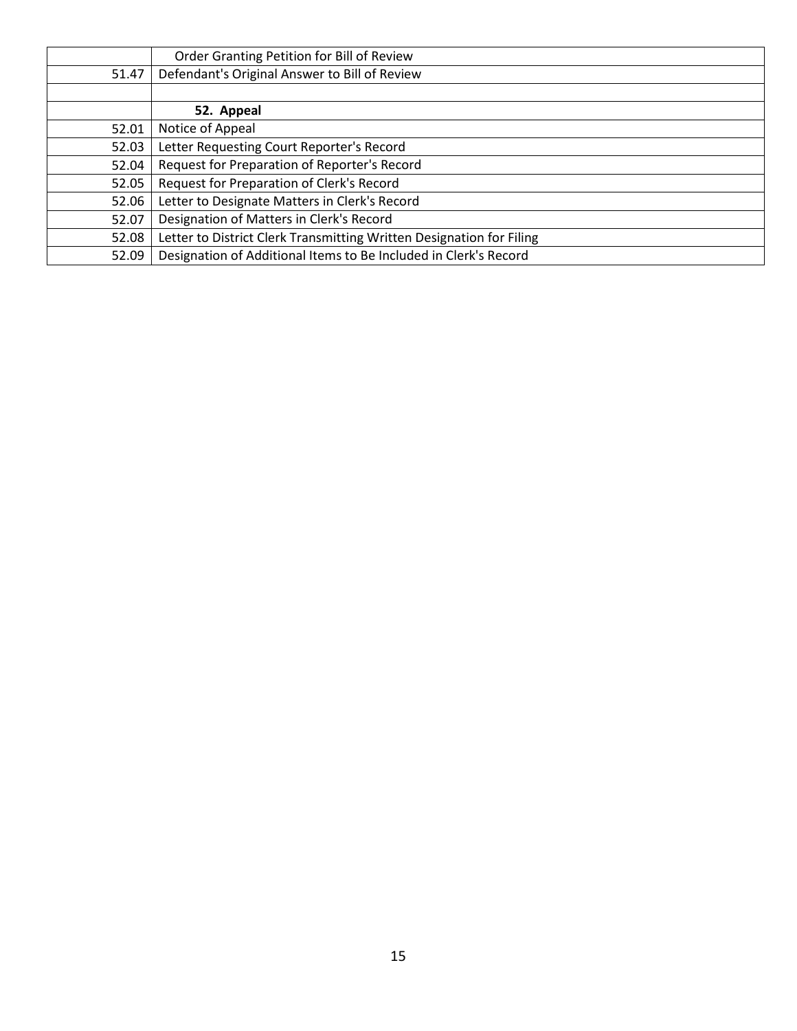|       | Order Granting Petition for Bill of Review                           |
|-------|----------------------------------------------------------------------|
| 51.47 | Defendant's Original Answer to Bill of Review                        |
|       |                                                                      |
|       | 52. Appeal                                                           |
| 52.01 | Notice of Appeal                                                     |
| 52.03 | Letter Requesting Court Reporter's Record                            |
| 52.04 | Request for Preparation of Reporter's Record                         |
| 52.05 | Request for Preparation of Clerk's Record                            |
| 52.06 | Letter to Designate Matters in Clerk's Record                        |
| 52.07 | Designation of Matters in Clerk's Record                             |
| 52.08 | Letter to District Clerk Transmitting Written Designation for Filing |
| 52.09 | Designation of Additional Items to Be Included in Clerk's Record     |